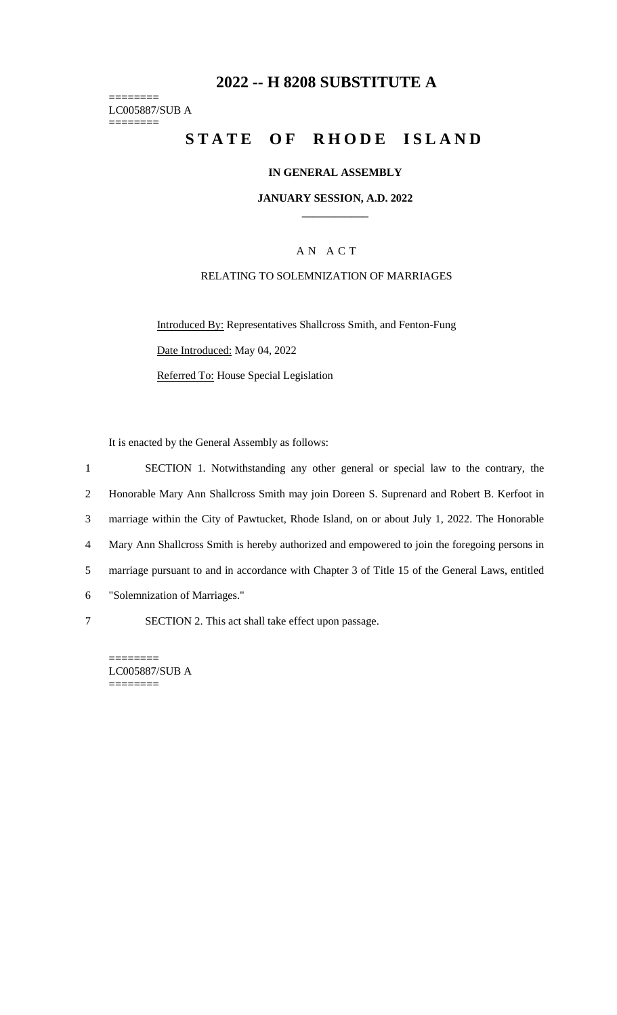# **2022 -- H 8208 SUBSTITUTE A**

======== LC005887/SUB A ========

# **STATE OF RHODE ISLAND**

#### **IN GENERAL ASSEMBLY**

**JANUARY SESSION, A.D. 2022 \_\_\_\_\_\_\_\_\_\_\_\_**

## A N A C T

#### RELATING TO SOLEMNIZATION OF MARRIAGES

Introduced By: Representatives Shallcross Smith, and Fenton-Fung Date Introduced: May 04, 2022 Referred To: House Special Legislation

It is enacted by the General Assembly as follows:

 SECTION 1. Notwithstanding any other general or special law to the contrary, the Honorable Mary Ann Shallcross Smith may join Doreen S. Suprenard and Robert B. Kerfoot in marriage within the City of Pawtucket, Rhode Island, on or about July 1, 2022. The Honorable Mary Ann Shallcross Smith is hereby authorized and empowered to join the foregoing persons in marriage pursuant to and in accordance with Chapter 3 of Title 15 of the General Laws, entitled "Solemnization of Marriages." SECTION 2. This act shall take effect upon passage.

LC005887/SUB A ========

========